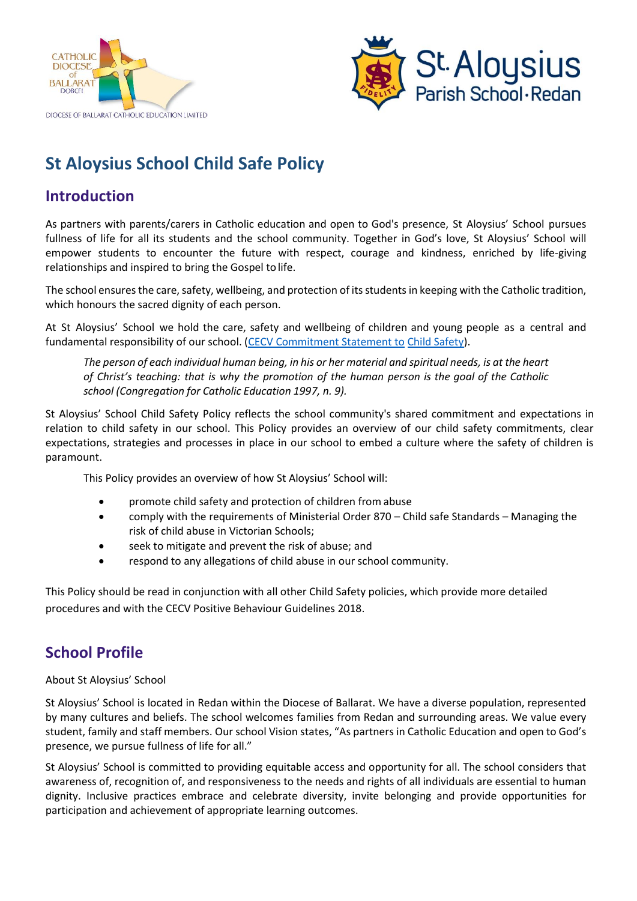



# **St Aloysius School Child Safe Policy**

# **Introduction**

As partners with parents/carers in Catholic education and open to God's presence, St Aloysius' School pursues fullness of life for all its students and the school community. Together in God's love, St Aloysius' School will empower students to encounter the future with respect, courage and kindness, enriched by life-giving relationships and inspired to bring the Gospel to life.

The school ensures the care, safety, wellbeing, and protection of its students in keeping with the Catholic tradition, which honours the sacred dignity of each person.

At St Aloysius' School we hold the care, safety and wellbeing of children and young people as a central and fundamental responsibility of our school. [\(CECV Commitment Statement to](https://cevn.cecv.catholic.edu.au/Melb/Document-File/Child-Safety/About/Commitment-Statement-A4.aspx) Child [Safety\)](https://www.education.vic.gov.au/Documents/about/programs/health/protect/PROTECT_Responding_TemplateSchools.pdf?id=8589940582).

*The person of each individual human being, in his or her material and spiritual needs, is at the heart of Christ's teaching: that is why the promotion of the human person is the goal of the Catholic school (Congregation for Catholic Education 1997, n. 9).*

St Aloysius' School Child Safety Policy reflects the school community's shared commitment and expectations in relation to child safety in our school. This Policy provides an overview of our child safety commitments, clear expectations, strategies and processes in place in our school to embed a culture where the safety of children is paramount.

This Policy provides an overview of how St Aloysius' School will:

- promote child safety and protection of children from abuse
- comply with the requirements of Ministerial Order 870 Child safe Standards Managing the risk of child abuse in Victorian Schools;
- seek to mitigate and prevent the risk of abuse; and
- respond to any allegations of child abuse in our school community.

This Policy should be read in conjunction with all other Child Safety policies, which provide more detailed procedures and with the CECV Positive Behaviour Guidelines 2018.

### **School Profile**

About St Aloysius' School

St Aloysius' School is located in Redan within the Diocese of Ballarat. We have a diverse population, represented by many cultures and beliefs. The school welcomes families from Redan and surrounding areas. We value every student, family and staff members. Our school Vision states, "As partners in Catholic Education and open to God's presence, we pursue fullness of life for all."

St Aloysius' School is committed to providing equitable access and opportunity for all. The school considers that awareness of, recognition of, and responsiveness to the needs and rights of all individuals are essential to human dignity. Inclusive practices embrace and celebrate diversity, invite belonging and provide opportunities for participation and achievement of appropriate learning outcomes.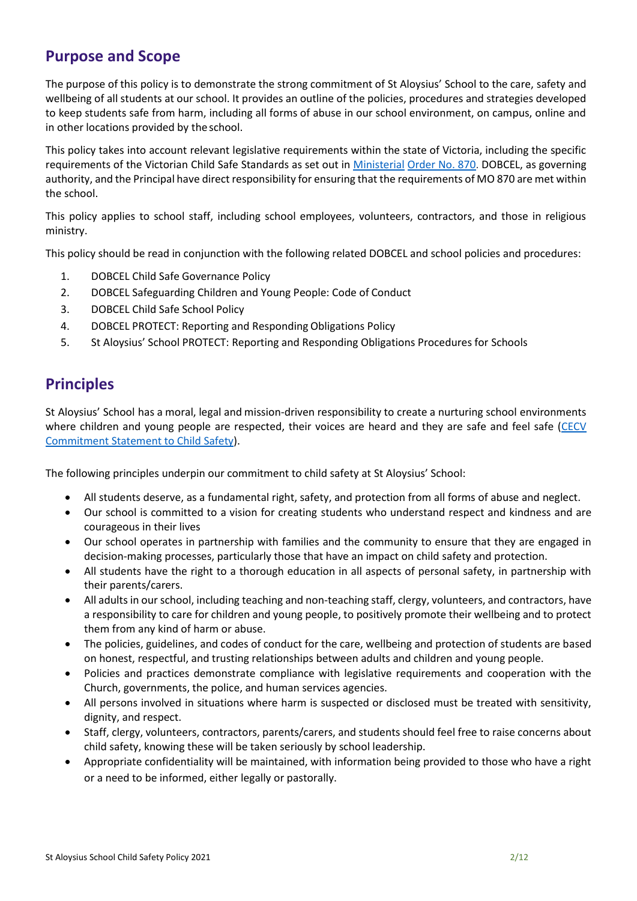### **Purpose and Scope**

The purpose of this policy is to demonstrate the strong commitment of St Aloysius' School to the care, safety and wellbeing of all students at our school. It provides an outline of the policies, procedures and strategies developed to keep students safe from harm, including all forms of abuse in our school environment, on campus, online and in other locations provided by the school.

This policy takes into account relevant legislative requirements within the state of Victoria, including the specific requirements of the Victorian Child Safe Standards as set out in [Ministerial](http://www.cecv.catholic.edu.au/getmedia/ebe135a4-d1b3-48a0-81fe-50d4fc451bcd/Identifying-and-Responding-to-All-Forms-of-Abuse.aspx) [Order No. 870.](https://www.vit.vic.edu.au/news/news/2018/protecting-children-mandatory-reporting-elearning-modules) DOBCEL, as governing authority, and the Principal have direct responsibility for ensuring that the requirements of MO 870 are met within the school.

This policy applies to school staff, including school employees, volunteers, contractors, and those in religious ministry.

This policy should be read in conjunction with the following related DOBCEL and school policies and procedures:

- 1. DOBCEL Child Safe Governance Policy
- 2. DOBCEL Safeguarding Children and Young People: Code of Conduct
- 3. DOBCEL Child Safe School Policy
- 4. DOBCEL PROTECT: Reporting and Responding Obligations Policy
- 5. St Aloysius' School PROTECT: Reporting and Responding Obligations Procedures for Schools

#### **Principles**

St Aloysius' School has a moral, legal and mission-driven responsibility to create a nurturing school environments where children and young people are respected, their voices are heard and they are safe and feel safe [\(CECV](https://www.cecv.catholic.edu.au/getmedia/b5d43278-51b9-4704-b45a-f14e50546a70/Commitment-Statement-A4.aspx)  [Commitment Statement to Child](https://www.cecv.catholic.edu.au/getmedia/b5d43278-51b9-4704-b45a-f14e50546a70/Commitment-Statement-A4.aspx) Safety).

The following principles underpin our commitment to child safety at St Aloysius' School:

- All students deserve, as a fundamental right, safety, and protection from all forms of abuse and neglect.
- Our school is committed to a vision for creating students who understand respect and kindness and are courageous in their lives
- Our school operates in partnership with families and the community to ensure that they are engaged in decision-making processes, particularly those that have an impact on child safety and protection.
- All students have the right to a thorough education in all aspects of personal safety, in partnership with their parents/carers.
- All adults in our school, including teaching and non-teaching staff, clergy, volunteers, and contractors, have a responsibility to care for children and young people, to positively promote their wellbeing and to protect them from any kind of harm or abuse.
- The policies, guidelines, and codes of conduct for the care, wellbeing and protection of students are based on honest, respectful, and trusting relationships between adults and children and young people.
- Policies and practices demonstrate compliance with legislative requirements and cooperation with the Church, governments, the police, and human services agencies.
- All persons involved in situations where harm is suspected or disclosed must be treated with sensitivity, dignity, and respect.
- Staff, clergy, volunteers, contractors, parents/carers, and students should feel free to raise concerns about child safety, knowing these will be taken seriously by school leadership.
- Appropriate confidentiality will be maintained, with information being provided to those who have a right or a need to be informed, either legally or pastorally.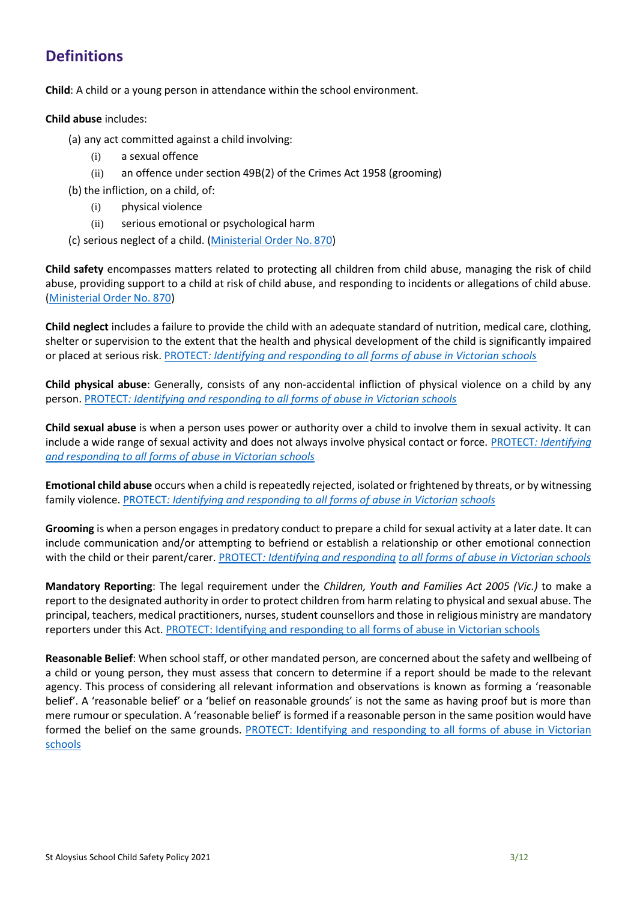# **Definitions**

**Child**: A child or a young person in attendance within the school environment.

#### **Child abuse** includes:

#### (a) any act committed against a child involving:

- (i) a sexual offence
- (ii) an offence under section 49B(2) of the Crimes Act 1958 (grooming)
- (b) the infliction, on a child, of:
	- (i) physical violence
	- (ii) serious emotional or psychological harm
- (c) serious neglect of a child. [\(Ministerial Order No.](http://www.gazette.vic.gov.au/gazette/Gazettes2016/GG2016S002.pdf#page%3D17) 870)

**Child safety** encompasses matters related to protecting all children from child abuse, managing the risk of child abuse, providing support to a child at risk of child abuse, and responding to incidents or allegations of child abuse. [\(Ministerial Order No. 870\)](http://www.gazette.vic.gov.au/gazette/Gazettes2016/GG2016S002.pdf#page%3D17)

**Child neglect** includes a failure to provide the child with an adequate standard of nutrition, medical care, clothing, shelter or supervision to the extent that the health and physical development of the child is significantly impaired or placed at serious risk[. PROTECT](http://www.cecv.catholic.edu.au/getmedia/ebe135a4-d1b3-48a0-81fe-50d4fc451bcd/Identifying-and-Responding-to-All-Forms-of-Abuse.aspx#page%3D18)*[: Identifying and responding to all](http://www.cecv.catholic.edu.au/getmedia/ebe135a4-d1b3-48a0-81fe-50d4fc451bcd/Identifying-and-Responding-to-All-Forms-of-Abuse.aspx#page%3D18) [forms of abuse in Victorian schools](http://cevn.cecv.catholic.edu.au/WorkArea/DownloadAsset.aspx#page%3D18)*

**Child physical abuse**: Generally, consists of any non-accidental infliction of physical violence on a child by any person. [PROTECT](http://cevn.cecv.catholic.edu.au/WorkArea/DownloadAsset.aspx#page%3D10)*[: Identifying and responding to all forms of abuse in Victorian schools](http://cevn.cecv.catholic.edu.au/WorkArea/DownloadAsset.aspx#page%3D10)*

**Child sexual abuse** is when a person uses power or authority over a child to involve them in sexual activity. It can include a wide range of sexual activity and does not always involve physical contact or force[. PROTECT](http://www.cecv.catholic.edu.au/vcsa/Agreement_2013/VCEMEA_2013.pdf#page%3D12)*[: Identifying](http://www.cecv.catholic.edu.au/vcsa/Agreement_2013/VCEMEA_2013.pdf#page%3D12) [and responding to all forms of abuse in Victorian schools](https://www.cecv.catholic.edu.au/getmedia/ebe135a4-d1b3-48a0-81fe-50d4fc451bcd/Identifying-and-Responding-to-All-Forms-of-Abuse.aspx#page%3D10)*

**Emotional child abuse** occurs when a child is repeatedly rejected, isolated or frightened by threats, or by witnessing family violence. [PROTECT](http://www.cecv.catholic.edu.au/getmedia/ebe135a4-d1b3-48a0-81fe-50d4fc451bcd/Identifying-and-Responding-to-All-Forms-of-Abuse.aspx#page%3D17)*[: Identifying and responding to all forms of abuse in Victorian](http://www.cecv.catholic.edu.au/getmedia/ebe135a4-d1b3-48a0-81fe-50d4fc451bcd/Identifying-and-Responding-to-All-Forms-of-Abuse.aspx#page%3D17) [schools](http://www.vatican.va/roman_curia/congregations/ccatheduc/documents/rc_con_ccatheduc_doc_27041998_school2000_en.html#page%3D17)*

**Grooming** is when a person engages in predatory conduct to prepare a child for sexual activity at a later date. It can include communication and/or attempting to befriend or establish a relationship or other emotional connection with the child or their parent/carer. [PROTECT](http://www.cecv.catholic.edu.au/getmedia/ebe135a4-d1b3-48a0-81fe-50d4fc451bcd/Identifying-and-Responding-to-All-Forms-of-Abuse.aspx#page%3D15)*[: Identifying and responding](http://www.cecv.catholic.edu.au/getmedia/ebe135a4-d1b3-48a0-81fe-50d4fc451bcd/Identifying-and-Responding-to-All-Forms-of-Abuse.aspx#page%3D15) [to all forms of abuse in Victorian schools](http://www.cecv.catholic.edu.au/getmedia/ebe135a4-d1b3-48a0-81fe-50d4fc451bcd/Identifying-and-Responding-to-All-Forms-of-Abuse.aspx#page%3D15)*

**Mandatory Reporting**: The legal requirement under the *Children, Youth and Families Act 2005 (Vic.)* to make a report to the designated authority in order to protect children from harm relating to physical and sexual abuse. The principal, teachers, medical practitioners, nurses, student counsellors and those in religious ministry are mandatory reporters under this Act. [PROTECT: Identifying and responding to all forms of abuse in Victorian](https://www.cecv.catholic.edu.au/getmedia/ebe135a4-d1b3-48a0-81fe-50d4fc451bcd/Identifying-and-Responding-to-All-Forms-of-Abuse.aspx#page%3D10) schools

**Reasonable Belief**: When school staff, or other mandated person, are concerned about the safety and wellbeing of a child or young person, they must assess that concern to determine if a report should be made to the relevant agency. This process of considering all relevant information and observations is known as forming a 'reasonable belief'. A 'reasonable belief' or a 'belief on reasonable grounds' is not the same as having proof but is more than mere rumour or speculation. A 'reasonable belief' is formed if a reasonable person in the same position would have formed the belief on the same grounds. [PROTECT: Identifying and responding to all forms of abuse in Victorian](http://www.cecv.catholic.edu.au/getmedia/ebe135a4-d1b3-48a0-81fe-50d4fc451bcd/Identifying-and-Responding-to-All-Forms-of-Abuse.aspx#page%3D25) [schools](http://www.cecv.catholic.edu.au/getmedia/ebe135a4-d1b3-48a0-81fe-50d4fc451bcd/Identifying-and-Responding-to-All-Forms-of-Abuse.aspx#page%3D25)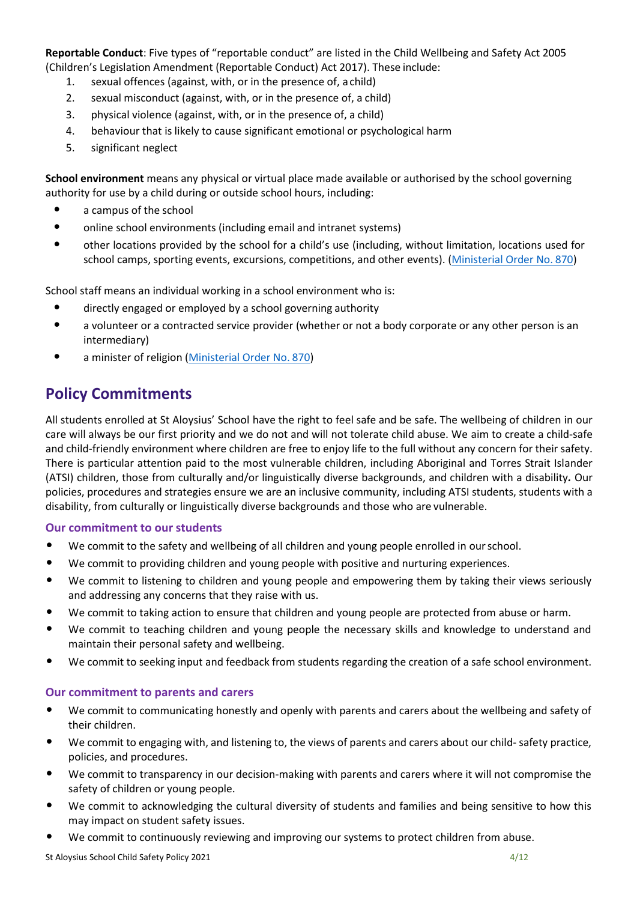**Reportable Conduct**: Five types of "reportable conduct" are listed in the Child Wellbeing and Safety Act 2005 (Children's Legislation Amendment (Reportable Conduct) Act 2017). These include:

- 1. sexual offences (against, with, or in the presence of, a child)
- 2. sexual misconduct (against, with, or in the presence of, a child)
- 3. physical violence (against, with, or in the presence of, a child)
- 4. behaviour that is likely to cause significant emotional or psychological harm
- 5. significant neglect

**School environment** means any physical or virtual place made available or authorised by the school governing authority for use by a child during or outside school hours, including:

- a campus of the school
- online school environments (including email and intranet systems)
- other locations provided by the school for a child's use (including, without limitation, locations used for school camps, sporting events, excursions, competitions, and other events). [\(Ministerial Order No.](http://www.parliament.vic.gov.au/fcdc/inquiries/article/1788) 870)

School staff means an individual working in a school environment who is:

- directly engaged or employed by a school governing authority
- a volunteer or a contracted service provider (whether or not a body corporate or any other person is an intermediary)
- a minister of religion [\(Ministerial Order No.](http://www.gazette.vic.gov.au/gazette/Gazettes2016/GG2016S002.pdf#page%3D17) 870)

# **Policy Commitments**

All students enrolled at St Aloysius' School have the right to feel safe and be safe. The wellbeing of children in our care will always be our first priority and we do not and will not tolerate child abuse. We aim to create a child-safe and child-friendly environment where children are free to enjoy life to the full without any concern for their safety. There is particular attention paid to the most vulnerable children, including Aboriginal and Torres Strait Islander (ATSI) children, those from culturally and/or linguistically diverse backgrounds, and children with a disability*.* Our policies, procedures and strategies ensure we are an inclusive community, including ATSI students, students with a disability, from culturally or linguistically diverse backgrounds and those who are vulnerable.

#### **Our commitment to our students**

- We commit to the safety and wellbeing of all children and young people enrolled in ourschool.
- We commit to providing children and young people with positive and nurturing experiences.
- We commit to listening to children and young people and empowering them by taking their views seriously and addressing any concerns that they raise with us.
- We commit to taking action to ensure that children and young people are protected from abuse or harm.
- We commit to teaching children and young people the necessary skills and knowledge to understand and maintain their personal safety and wellbeing.
- We commit to seeking input and feedback from students regarding the creation of a safe school environment.

#### **Our commitment to parents and carers**

- We commit to communicating honestly and openly with parents and carers about the wellbeing and safety of their children.
- We commit to engaging with, and listening to, the views of parents and carers about our child- safety practice, policies, and procedures.
- We commit to transparency in our decision-making with parents and carers where it will not compromise the safety of children or young people.
- We commit to acknowledging the cultural diversity of students and families and being sensitive to how this may impact on student safety issues.
- We commit to continuously reviewing and improving our systems to protect children from abuse.

St Aloysius School Child Safety Policy 2021 4/12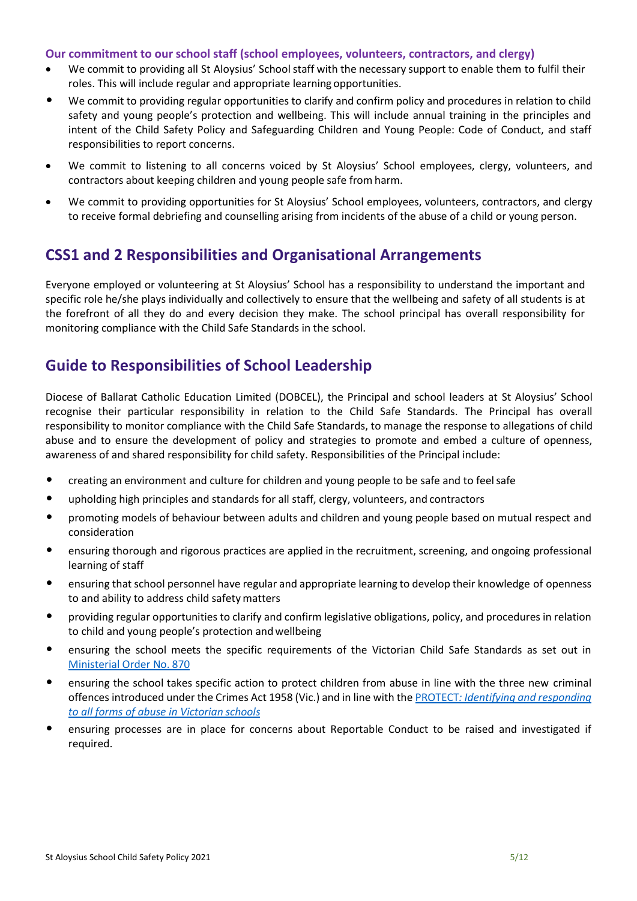#### **Our commitment to our school staff (school employees, volunteers, contractors, and clergy)**

- We commit to providing all St Aloysius' School staff with the necessary support to enable them to fulfil their roles. This will include regular and appropriate learning opportunities.
- We commit to providing regular opportunities to clarify and confirm policy and procedures in relation to child safety and young people's protection and wellbeing. This will include annual training in the principles and intent of the Child Safety Policy and Safeguarding Children and Young People: Code of Conduct, and staff responsibilities to report concerns.
- We commit to listening to all concerns voiced by St Aloysius' School employees, clergy, volunteers, and contractors about keeping children and young people safe from harm.
- We commit to providing opportunities for St Aloysius' School employees, volunteers, contractors, and clergy to receive formal debriefing and counselling arising from incidents of the abuse of a child or young person.

#### **CSS1 and 2 Responsibilities and Organisational Arrangements**

Everyone employed or volunteering at St Aloysius' School has a responsibility to understand the important and specific role he/she plays individually and collectively to ensure that the wellbeing and safety of all students is at the forefront of all they do and every decision they make. The school principal has overall responsibility for monitoring compliance with the Child Safe Standards in the school.

### **Guide to Responsibilities of School Leadership**

Diocese of Ballarat Catholic Education Limited (DOBCEL), the Principal and school leaders at St Aloysius' School recognise their particular responsibility in relation to the Child Safe Standards. The Principal has overall responsibility to monitor compliance with the Child Safe Standards, to manage the response to allegations of child abuse and to ensure the development of policy and strategies to promote and embed a culture of openness, awareness of and shared responsibility for child safety. Responsibilities of the Principal include:

- creating an environment and culture for children and young people to be safe and to feel safe
- upholding high principles and standards for all staff, clergy, volunteers, and contractors
- promoting models of behaviour between adults and children and young people based on mutual respect and consideration
- ensuring thorough and rigorous practices are applied in the recruitment, screening, and ongoing professional learning of staff
- ensuring that school personnel have regular and appropriate learning to develop their knowledge of openness to and ability to address child safety matters
- providing regular opportunities to clarify and confirm legislative obligations, policy, and procedures in relation to child and young people's protection and wellbeing
- ensuring the school meets the specific requirements of the Victorian Child Safe Standards as set out in [Ministerial Order No.](http://www.gazette.vic.gov.au/gazette/Gazettes2016/GG2016S002.pdf#page%3D17) 870
- ensuring the school takes specific action to protect children from abuse in line with the three new criminal offences introduced under the Crimes Act 1958 (Vic.) and in line with the [PROTECT](http://www.gazette.vic.gov.au/gazette/Gazettes2016/GG2016S002.pdf)*[:](http://www.gazette.vic.gov.au/gazette/Gazettes2016/GG2016S002.pdf) [Identifying and responding](https://www.cecv.catholic.edu.au/getmedia/ebe135a4-d1b3-48a0-81fe-50d4fc451bcd/Identifying-and-Responding-to-All-Forms-of-Abuse.aspx#page%3D10)  [to all forms of abuse in Victorian](https://www.cecv.catholic.edu.au/getmedia/ebe135a4-d1b3-48a0-81fe-50d4fc451bcd/Identifying-and-Responding-to-All-Forms-of-Abuse.aspx#page%3D10) schools*
- ensuring processes are in place for concerns about Reportable Conduct to be raised and investigated if required.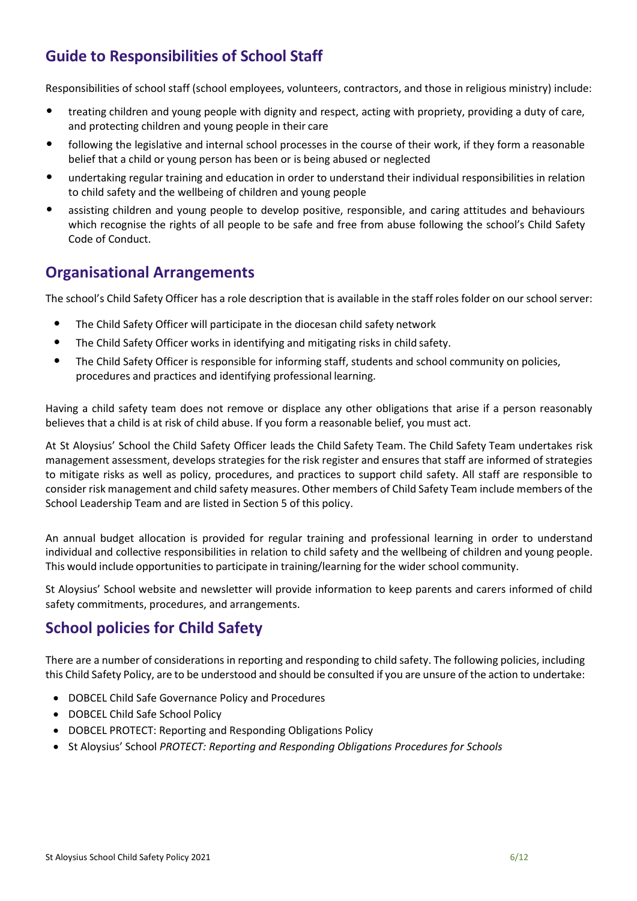# **Guide to Responsibilities of School Staff**

Responsibilities of school staff (school employees, volunteers, contractors, and those in religious ministry) include:

- treating children and young people with dignity and respect, acting with propriety, providing a duty of care, and protecting children and young people in their care
- following the legislative and internal school processes in the course of their work, if they form a reasonable belief that a child or young person has been or is being abused or neglected
- undertaking regular training and education in order to understand their individual responsibilities in relation to child safety and the wellbeing of children and young people
- assisting children and young people to develop positive, responsible, and caring attitudes and behaviours which recognise the rights of all people to be safe and free from abuse following the school's Child Safety Code of Conduct.

#### **Organisational Arrangements**

The school's Child Safety Officer has a role description that is available in the staff roles folder on our school server:

- The Child Safety Officer will participate in the diocesan child safety network
- The Child Safety Officer works in identifying and mitigating risks in child safety.
- The Child Safety Officer is responsible for informing staff, students and school community on policies, procedures and practices and identifying professional learning.

Having a child safety team does not remove or displace any other obligations that arise if a person reasonably believes that a child is at risk of child abuse. If you form a reasonable belief, you must act.

At St Aloysius' School the Child Safety Officer leads the Child Safety Team. The Child Safety Team undertakes risk management assessment, develops strategies for the risk register and ensures that staff are informed of strategies to mitigate risks as well as policy, procedures, and practices to support child safety. All staff are responsible to consider risk management and child safety measures. Other members of Child Safety Team include members of the School Leadership Team and are listed in Section 5 of this policy.

An annual budget allocation is provided for regular training and professional learning in order to understand individual and collective responsibilities in relation to child safety and the wellbeing of children and young people. This would include opportunities to participate in training/learning for the wider school community.

St Aloysius' School website and newsletter will provide information to keep parents and carers informed of child safety commitments, procedures, and arrangements.

### **School policies for Child Safety**

There are a number of considerations in reporting and responding to child safety. The following policies, including this Child Safety Policy, are to be understood and should be consulted if you are unsure of the action to undertake:

- DOBCEL Child Safe Governance Policy and Procedures
- DOBCEL Child Safe School Policy
- DOBCEL PROTECT: Reporting and Responding Obligations Policy
- **St Aloysius' School PROTECT: Reporting and Responding Obligations Procedures for Schools**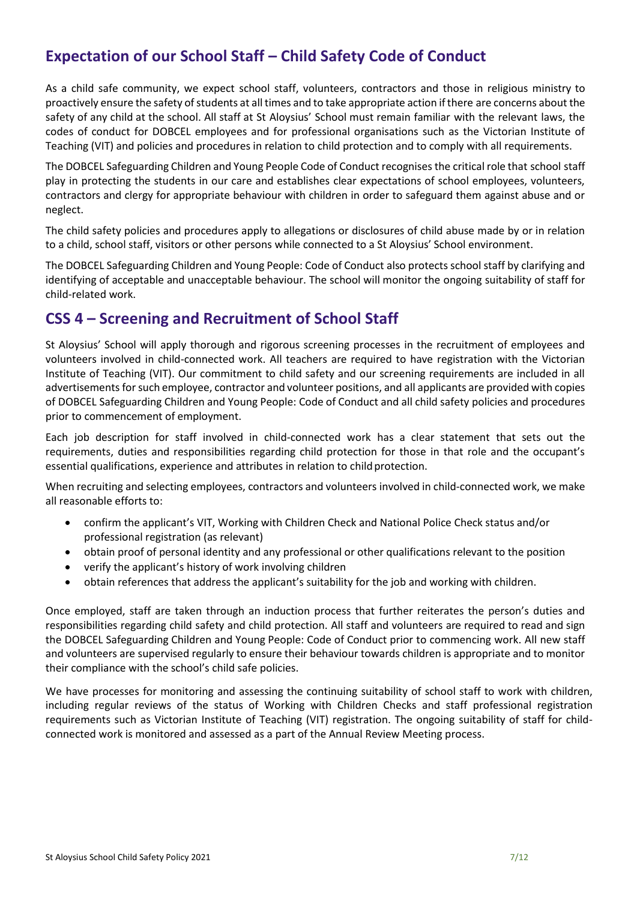# **Expectation of our School Staff – Child Safety Code of Conduct**

As a child safe community, we expect school staff, volunteers, contractors and those in religious ministry to proactively ensure the safety of students at all times and to take appropriate action if there are concerns about the safety of any child at the school. All staff at St Aloysius' School must remain familiar with the relevant laws, the codes of conduct for DOBCEL employees and for professional organisations such as the Victorian Institute of Teaching (VIT) and policies and procedures in relation to child protection and to comply with all requirements.

The DOBCEL Safeguarding Children and Young People Code of Conduct recognises the critical role that school staff play in protecting the students in our care and establishes clear expectations of school employees, volunteers, contractors and clergy for appropriate behaviour with children in order to safeguard them against abuse and or neglect.

The child safety policies and procedures apply to allegations or disclosures of child abuse made by or in relation to a child, school staff, visitors or other persons while connected to a St Aloysius' School environment.

The DOBCEL Safeguarding Children and Young People: Code of Conduct also protects school staff by clarifying and identifying of acceptable and unacceptable behaviour. The school will monitor the ongoing suitability of staff for child-related work.

#### **CSS 4 – Screening and Recruitment of School Staff**

St Aloysius' School will apply thorough and rigorous screening processes in the recruitment of employees and volunteers involved in child-connected work. All teachers are required to have registration with the Victorian Institute of Teaching (VIT). Our commitment to child safety and our screening requirements are included in all advertisements for such employee, contractor and volunteer positions, and all applicants are provided with copies of DOBCEL Safeguarding Children and Young People: Code of Conduct and all child safety policies and procedures prior to commencement of employment.

Each job description for staff involved in child-connected work has a clear statement that sets out the requirements, duties and responsibilities regarding child protection for those in that role and the occupant's essential qualifications, experience and attributes in relation to child protection.

When recruiting and selecting employees, contractors and volunteers involved in child-connected work, we make all reasonable efforts to:

- confirm the applicant's VIT, Working with Children Check and National Police Check status and/or professional registration (as relevant)
- obtain proof of personal identity and any professional or other qualifications relevant to the position
- verify the applicant's history of work involving children
- obtain references that address the applicant's suitability for the job and working with children.

Once employed, staff are taken through an induction process that further reiterates the person's duties and responsibilities regarding child safety and child protection. All staff and volunteers are required to read and sign the DOBCEL Safeguarding Children and Young People: Code of Conduct prior to commencing work. All new staff and volunteers are supervised regularly to ensure their behaviour towards children is appropriate and to monitor their compliance with the school's child safe policies.

We have processes for monitoring and assessing the continuing suitability of school staff to work with children, including regular reviews of the status of Working with Children Checks and staff professional registration requirements such as Victorian Institute of Teaching (VIT) registration. The ongoing suitability of staff for childconnected work is monitored and assessed as a part of the Annual Review Meeting process.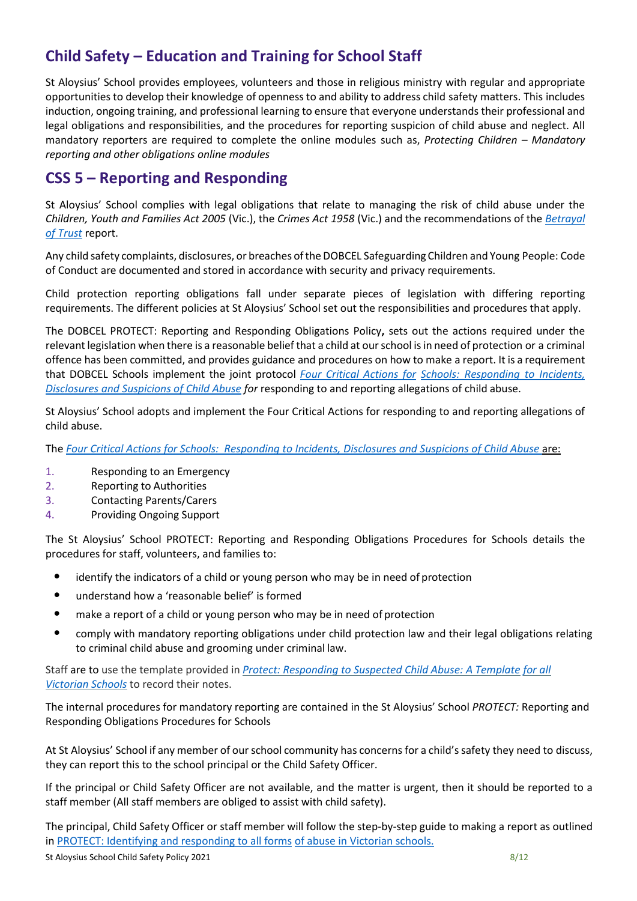# **Child Safety – Education and Training for School Staff**

St Aloysius' School provides employees, volunteers and those in religious ministry with regular and appropriate opportunities to develop their knowledge of openness to and ability to address child safety matters. This includes induction, ongoing training, and professional learning to ensure that everyone understands their professional and legal obligations and responsibilities, and the procedures for reporting suspicion of child abuse and neglect. All mandatory reporters are required to complete the online modules such as, *Protecting Children – Mandatory reporting and other obligations online modules* 

#### **CSS 5 – Reporting and Responding**

St Aloysius' School complies with legal obligations that relate to managing the risk of child abuse under the *Children, Youth and Families Act 2005* (Vic.), the *Crimes Act 1958* (Vic.) and the recommendations of the *[Betrayal](https://www.parliament.vic.gov.au/fcdc/article/1788)  [of Trust](https://www.parliament.vic.gov.au/fcdc/article/1788)* report.

Any child safety complaints, disclosures, or breaches oftheDOBCEL Safeguarding Children and Young People: Code of Conduct are documented and stored in accordance with security and privacy requirements.

Child protection reporting obligations fall under separate pieces of legislation with differing reporting requirements. The different policies at St Aloysius' School set out the responsibilities and procedures that apply.

The DOBCEL PROTECT: Reporting and Responding Obligations Policy**,** sets out the actions required under the relevant legislation when there is a reasonable belief that a child at ourschool isin need of protection or a criminal offence has been committed, and provides guidance and procedures on how to make a report. It is a requirement that DOBCEL Schools implement the joint protocol *Four Critical [Actions](http://www.cecv.catholic.edu.au/getmedia/ebe135a4-d1b3-48a0-81fe-50d4fc451bcd/Identifying-and-Responding-to-All-Forms-of-Abuse.aspx) for [Schools: Responding to Incidents,](https://www.education.vic.gov.au/Documents/about/programs/health/protect/FourCriticalActions_ChildAbuse.pdf#page%3D12)  [Disclosures and Suspicions of Child Abuse](https://www.education.vic.gov.au/Documents/about/programs/health/protect/FourCriticalActions_ChildAbuse.pdf#page%3D12) for* responding to and reporting allegations of child abuse.

St Aloysius' School adopts and implement the Four Critical Actions for responding to and reporting allegations of child abuse.

The *[Four Critical Actions for Schools: Responding to Incidents, Disclosures and Suspicions of](https://www.education.vic.gov.au/Documents/about/programs/health/protect/FourCriticalActions_ChildAbuse.pdf#page%3D12) [Child Abuse](https://www.education.vic.gov.au/Documents/about/programs/health/protect/FourCriticalActions_SSO.pdf)* are:

- 1. Responding to an Emergency
- 2. Reporting to Authorities
- 3. Contacting Parents/Carers
- 4. Providing Ongoing Support

The St Aloysius' School PROTECT: Reporting and Responding Obligations Procedures for Schools details the procedures for staff, volunteers, and families to:

- identify the indicators of a child or young person who may be in need of protection
- understand how a 'reasonable belief' is formed
- make a report of a child or young person who may be in need of protection
- comply with mandatory reporting obligations under child protection law and their legal obligations relating to criminal child abuse and grooming under criminal law.

Staff are to use the template provided in *[Protect: Responding to Suspected Child Abuse: A Template](https://www.education.vic.gov.au/Documents/about/programs/health/protect/PROTECT_Schoolstemplate.pdf) [for all](http://www.cecv.catholic.edu.au/getmedia/ebe135a4-d1b3-48a0-81fe-50d4fc451bcd/Identifying-and-Responding-to-All-Forms-of-Abuse.aspx)  [Victorian Schools](http://www.cecv.catholic.edu.au/getmedia/ebe135a4-d1b3-48a0-81fe-50d4fc451bcd/Identifying-and-Responding-to-All-Forms-of-Abuse.aspx)* to record their notes.

The internal procedures for mandatory reporting are contained in the St Aloysius' School *PROTECT:* Reporting and Responding Obligations Procedures for Schools

At St Aloysius' School if any member of our school community has concerns for a child's safety they need to discuss, they can report this to the school principal or the Child Safety Officer.

If the principal or Child Safety Officer are not available, and the matter is urgent, then it should be reported to a staff member (All staff members are obliged to assist with child safety).

The principal, Child Safety Officer or staff member will follow the step-by-step guide to making a report as outlined in [PROTECT: Identifying and responding to all forms](https://www.cecv.catholic.edu.au/getmedia/ebe135a4-d1b3-48a0-81fe-50d4fc451bcd/Identifying-and-Responding-to-All-Forms-of-Abuse.aspx#page%3D10) [of abuse in Victorian schools.](http://www.cecv.catholic.edu.au/getmedia/ebe135a4-d1b3-48a0-81fe-50d4fc451bcd/Identifying-and-Responding-to-All-Forms-of-Abuse.aspx#page%3D7)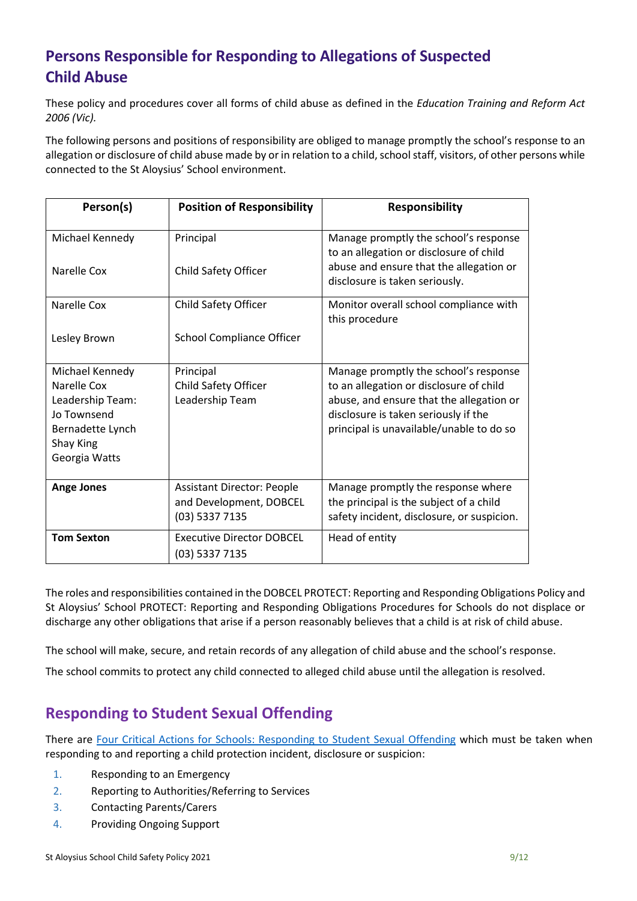# **Persons Responsible for Responding to Allegations of Suspected Child Abuse**

These policy and procedures cover all forms of child abuse as defined in the *Education Training and Reform Act 2006 (Vic).*

The following persons and positions of responsibility are obliged to manage promptly the school's response to an allegation or disclosure of child abuse made by or in relation to a child, school staff, visitors, of other persons while connected to the St Aloysius' School environment.

| Person(s)                                                                                                           | <b>Position of Responsibility</b>                                              | <b>Responsibility</b>                                                                                                                                                                                            |
|---------------------------------------------------------------------------------------------------------------------|--------------------------------------------------------------------------------|------------------------------------------------------------------------------------------------------------------------------------------------------------------------------------------------------------------|
| Michael Kennedy<br>Narelle Cox                                                                                      | Principal<br>Child Safety Officer                                              | Manage promptly the school's response<br>to an allegation or disclosure of child<br>abuse and ensure that the allegation or<br>disclosure is taken seriously.                                                    |
| Narelle Cox<br>Lesley Brown                                                                                         | Child Safety Officer<br><b>School Compliance Officer</b>                       | Monitor overall school compliance with<br>this procedure                                                                                                                                                         |
| Michael Kennedy<br>Narelle Cox<br>Leadership Team:<br>Jo Townsend<br>Bernadette Lynch<br>Shay King<br>Georgia Watts | Principal<br>Child Safety Officer<br>Leadership Team                           | Manage promptly the school's response<br>to an allegation or disclosure of child<br>abuse, and ensure that the allegation or<br>disclosure is taken seriously if the<br>principal is unavailable/unable to do so |
| <b>Ange Jones</b>                                                                                                   | <b>Assistant Director: People</b><br>and Development, DOBCEL<br>(03) 5337 7135 | Manage promptly the response where<br>the principal is the subject of a child<br>safety incident, disclosure, or suspicion.                                                                                      |
| <b>Tom Sexton</b>                                                                                                   | <b>Executive Director DOBCEL</b><br>(03) 5337 7135                             | Head of entity                                                                                                                                                                                                   |

The roles and responsibilities contained in the DOBCEL PROTECT: Reporting and Responding Obligations Policy and St Aloysius' School PROTECT: Reporting and Responding Obligations Procedures for Schools do not displace or discharge any other obligations that arise if a person reasonably believes that a child is at risk of child abuse.

The school will make, secure, and retain records of any allegation of child abuse and the school's response.

The school commits to protect any child connected to alleged child abuse until the allegation is resolved.

### **Responding to Student Sexual Offending**

There are [Four Critical Actions for Schools: Responding to Student Sexual Offending](https://www.education.vic.gov.au/Documents/about/programs/health/protect/FourCriticalActions_SSO.pdf) which must be taken when responding to and reporting a child protection incident, disclosure or suspicion:

- 1. Responding to an Emergency
- 2. Reporting to Authorities/Referring to Services
- 3. Contacting Parents/Carers
- 4. Providing Ongoing Support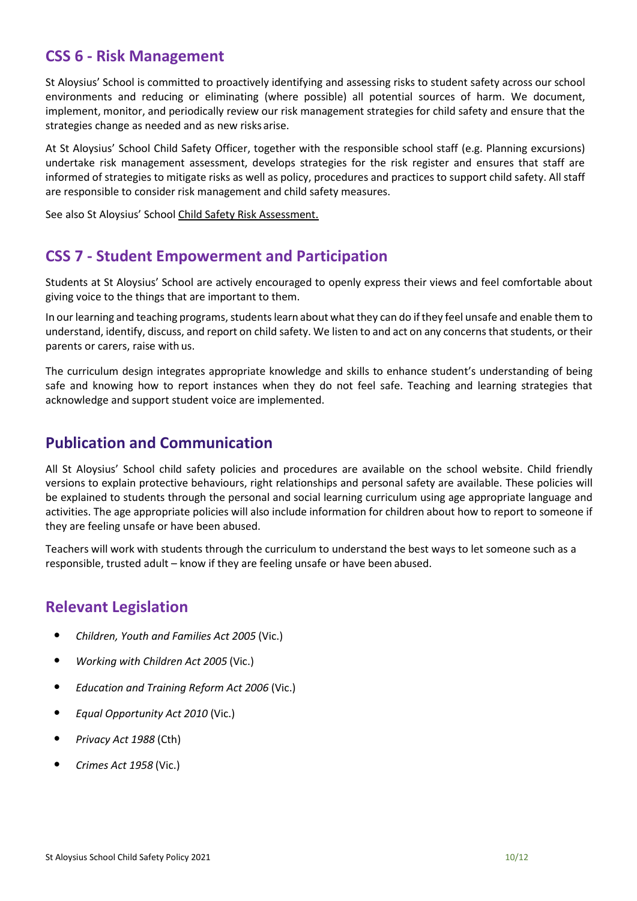#### **CSS 6 - Risk Management**

St Aloysius' School is committed to proactively identifying and assessing risks to student safety across our school environments and reducing or eliminating (where possible) all potential sources of harm. We document, implement, monitor, and periodically review our risk management strategies for child safety and ensure that the strategies change as needed and as new risks arise.

At St Aloysius' School Child Safety Officer, together with the responsible school staff (e.g. Planning excursions) undertake risk management assessment, develops strategies for the risk register and ensures that staff are informed of strategies to mitigate risks as well as policy, procedures and practices to support child safety. All staff are responsible to consider risk management and child safety measures.

See also St Aloysius' School Child Safety Risk Assessment.

#### **CSS 7 - Student Empowerment and Participation**

Students at St Aloysius' School are actively encouraged to openly express their views and feel comfortable about giving voice to the things that are important to them.

In our learning and teaching programs, students learn about what they can do if they feel unsafe and enable them to understand, identify, discuss, and report on child safety. We listen to and act on any concerns that students, or their parents or carers, raise with us.

The curriculum design integrates appropriate knowledge and skills to enhance student's understanding of being safe and knowing how to report instances when they do not feel safe. Teaching and learning strategies that acknowledge and support student voice are implemented.

#### **Publication and Communication**

All St Aloysius' School child safety policies and procedures are available on the school website. Child friendly versions to explain protective behaviours, right relationships and personal safety are available. These policies will be explained to students through the personal and social learning curriculum using age appropriate language and activities. The age appropriate policies will also include information for children about how to report to someone if they are feeling unsafe or have been abused.

Teachers will work with students through the curriculum to understand the best ways to let someone such as a responsible, trusted adult – know if they are feeling unsafe or have been abused.

#### **Relevant Legislation**

- *Children, Youth and Families Act 2005* (Vic.)
- *Working with Children Act 2005* (Vic.)
- *Education and Training Reform Act 2006* (Vic.)
- *Equal Opportunity Act 2010* (Vic.)
- *Privacy Act 1988* (Cth)
- *Crimes Act 1958* (Vic.)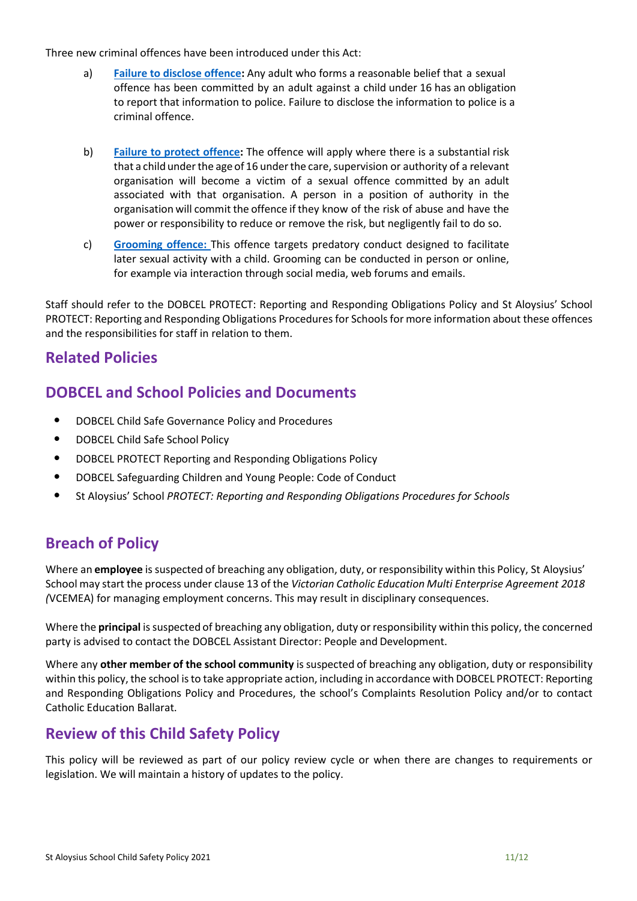Three new criminal offences have been introduced under this Act:

- a) **[Failure to disclose offence:](https://www.education.vic.gov.au/school/teachers/health/childprotection/Pages/reportobligations.aspx)** Any adult who forms a reasonable belief that a sexual offence has been committed by an adult against a child under 16 has an obligation to report that information to police. Failure to disclose the information to police is a criminal offence.
- b) **[Failure to protect offence:](https://www.education.vic.gov.au/school/teachers/health/childprotection/Pages/reportobligations.aspx)** The offence will apply where there is a substantial risk that a child under the age of 16 under the care, supervision or authority of a relevant organisation will become a victim of a sexual offence committed by an adult associated with that organisation. A person in a position of authority in the organisation will commit the offence if they know of the risk of abuse and have the power or responsibility to reduce or remove the risk, but negligently fail to do so.
- c) **[Grooming offence:](https://www.education.vic.gov.au/school/teachers/health/childprotection/Pages/reportobligations.aspx)** This offence targets predatory conduct designed to facilitate later sexual activity with a child. Grooming can be conducted in person or online, for example via interaction through social media, web forums and emails.

Staff should refer to the DOBCEL PROTECT: Reporting and Responding Obligations Policy and St Aloysius' School PROTECT: Reporting and Responding Obligations Procedures for Schoolsfor more information about these offences and the responsibilities for staff in relation to them.

#### **Related Policies**

#### **DOBCEL and School Policies and Documents**

- DOBCEL Child Safe Governance Policy and Procedures
- DOBCEL Child Safe School Policy
- DOBCEL PROTECT Reporting and Responding Obligations Policy
- DOBCEL Safeguarding Children and Young People: Code of Conduct
- St Aloysius' School *PROTECT: Reporting and Responding Obligations Procedures for Schools*

### **Breach of Policy**

Where an **employee** is suspected of breaching any obligation, duty, or responsibility within this Policy, St Aloysius' School may start the process under clause 13 of the *Victorian Catholic Education Multi Enterprise Agreement 2018 (*VCEMEA) for managing employment concerns. This may result in disciplinary consequences.

Where the **principal** issuspected of breaching any obligation, duty orresponsibility within this policy, the concerned party is advised to contact the DOBCEL Assistant Director: People and Development.

Where any **other member of the school community** issuspected of breaching any obligation, duty or responsibility within this policy, the school is to take appropriate action, including in accordance with DOBCEL PROTECT: Reporting and Responding Obligations Policy and Procedures, the school's Complaints Resolution Policy and/or to contact Catholic Education Ballarat.

#### **Review of this Child Safety Policy**

This policy will be reviewed as part of our policy review cycle or when there are changes to requirements or legislation. We will maintain a history of updates to the policy.